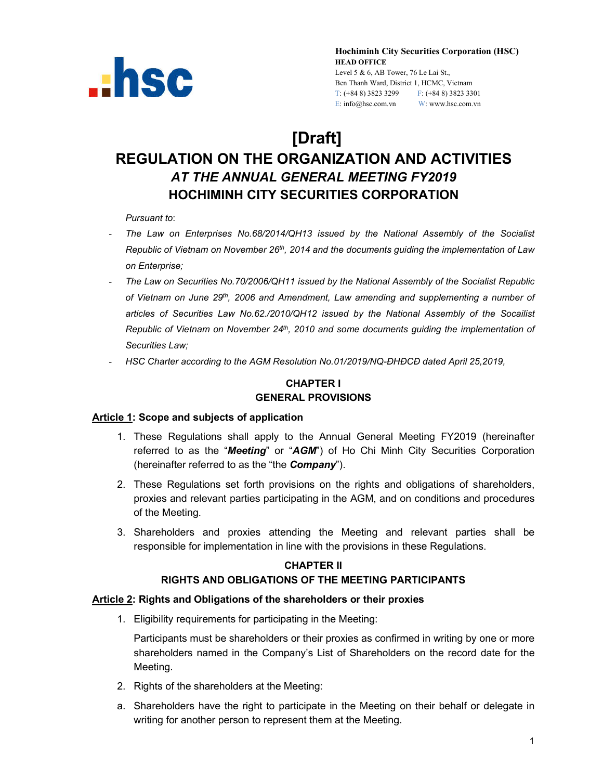

**Hochiminh City Securities Corporation (HSC) HEAD OFFICE** Level 5 & 6, AB Tower, 76 Le Lai St., Ben Thanh Ward, District 1, HCMC, Vietnam T: (+84 8) 3823 3299 F: (+84 8) 3823 3301 E: info@hsc.com.vn W: www.hsc.com.vn

# **[Draft]**

## **REGULATION ON THE ORGANIZATION AND ACTIVITIES** *AT THE ANNUAL GENERAL MEETING FY2019* **HOCHIMINH CITY SECURITIES CORPORATION**

*Pursuant to*:

- *The Law on Enterprises No.68/2014/QH13 issued by the National Assembly of the Socialist Republic of Vietnam on November 26th, 2014 and the documents guiding the implementation of Law on Enterprise;*
- *The Law on Securities No.70/2006/QH11 issued by the National Assembly of the Socialist Republic of Vietnam on June 29th, 2006 and Amendment, Law amending and supplementing a number of articles of Securities Law No.62./2010/QH12 issued by the National Assembly of the Socailist Republic of Vietnam on November 24th, 2010 and some documents guiding the implementation of Securities Law;*
- *HSC Charter according to the AGM Resolution No.01/2019/NQ-ĐHĐCĐ dated April 25,2019,*

#### **CHAPTER I GENERAL PROVISIONS**

#### **Article 1: Scope and subjects of application**

- 1. These Regulations shall apply to the Annual General Meeting FY2019 (hereinafter referred to as the "*Meeting*" or "*AGM*") of Ho Chi Minh City Securities Corporation (hereinafter referred to as the "the *Company*").
- 2. These Regulations set forth provisions on the rights and obligations of shareholders, proxies and relevant parties participating in the AGM, and on conditions and procedures of the Meeting.
- 3. Shareholders and proxies attending the Meeting and relevant parties shall be responsible for implementation in line with the provisions in these Regulations.

#### **CHAPTER II**

#### **RIGHTS AND OBLIGATIONS OF THE MEETING PARTICIPANTS**

#### **Article 2: Rights and Obligations of the shareholders or their proxies**

1. Eligibility requirements for participating in the Meeting:

Participants must be shareholders or their proxies as confirmed in writing by one or more shareholders named in the Company's List of Shareholders on the record date for the Meeting.

- 2. Rights of the shareholders at the Meeting:
- a. Shareholders have the right to participate in the Meeting on their behalf or delegate in writing for another person to represent them at the Meeting.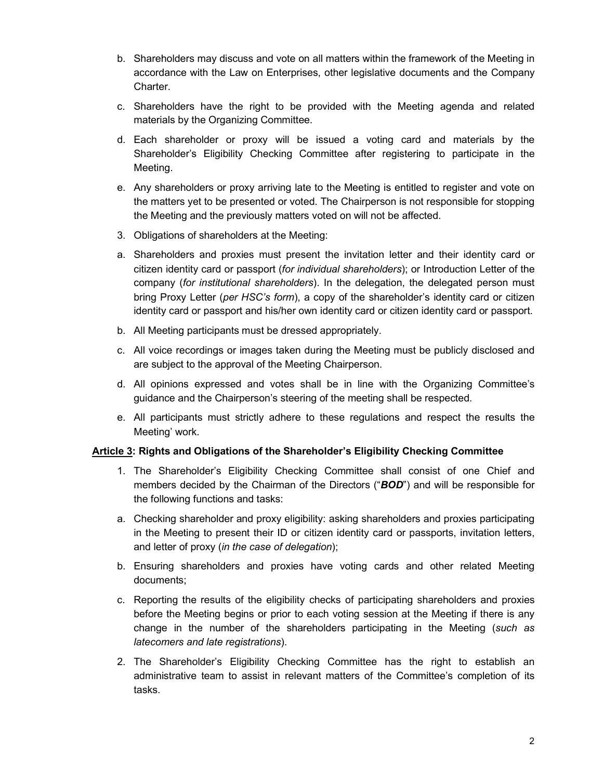- b. Shareholders may discuss and vote on all matters within the framework of the Meeting in accordance with the Law on Enterprises, other legislative documents and the Company Charter.
- c. Shareholders have the right to be provided with the Meeting agenda and related materials by the Organizing Committee.
- d. Each shareholder or proxy will be issued a voting card and materials by the Shareholder's Eligibility Checking Committee after registering to participate in the Meeting.
- e. Any shareholders or proxy arriving late to the Meeting is entitled to register and vote on the matters yet to be presented or voted. The Chairperson is not responsible for stopping the Meeting and the previously matters voted on will not be affected.
- 3. Obligations of shareholders at the Meeting:
- a. Shareholders and proxies must present the invitation letter and their identity card or citizen identity card or passport (*for individual shareholders*); or Introduction Letter of the company (*for institutional shareholders*). In the delegation, the delegated person must bring Proxy Letter (*per HSC's form*), a copy of the shareholder's identity card or citizen identity card or passport and his/her own identity card or citizen identity card or passport.
- b. All Meeting participants must be dressed appropriately.
- c. All voice recordings or images taken during the Meeting must be publicly disclosed and are subject to the approval of the Meeting Chairperson.
- d. All opinions expressed and votes shall be in line with the Organizing Committee's guidance and the Chairperson's steering of the meeting shall be respected.
- e. All participants must strictly adhere to these regulations and respect the results the Meeting' work.

#### **Article 3: Rights and Obligations of the Shareholder's Eligibility Checking Committee**

- 1. The Shareholder's Eligibility Checking Committee shall consist of one Chief and members decided by the Chairman of the Directors ("*BOD*") and will be responsible for the following functions and tasks:
- a. Checking shareholder and proxy eligibility: asking shareholders and proxies participating in the Meeting to present their ID or citizen identity card or passports, invitation letters, and letter of proxy (*in the case of delegation*);
- b. Ensuring shareholders and proxies have voting cards and other related Meeting documents;
- c. Reporting the results of the eligibility checks of participating shareholders and proxies before the Meeting begins or prior to each voting session at the Meeting if there is any change in the number of the shareholders participating in the Meeting (*such as latecomers and late registrations*).
- 2. The Shareholder's Eligibility Checking Committee has the right to establish an administrative team to assist in relevant matters of the Committee's completion of its tasks.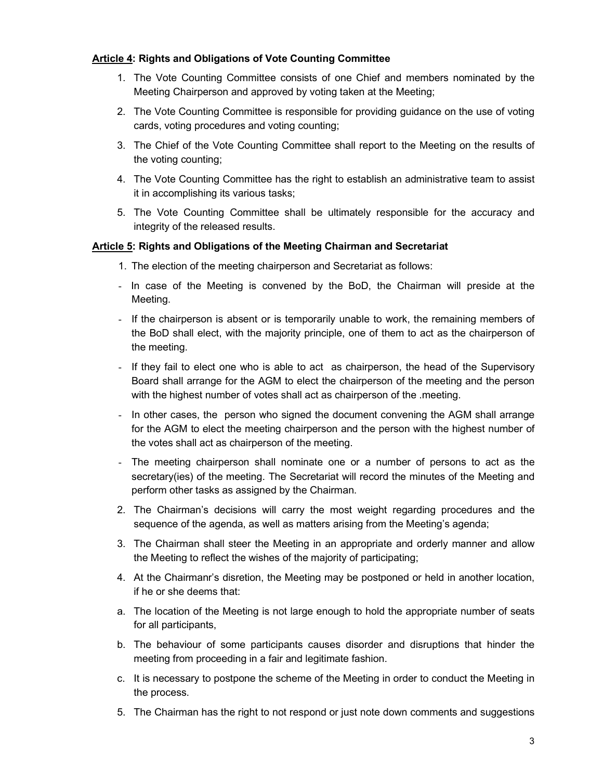#### **Article 4: Rights and Obligations of Vote Counting Committee**

- 1. The Vote Counting Committee consists of one Chief and members nominated by the Meeting Chairperson and approved by voting taken at the Meeting;
- 2. The Vote Counting Committee is responsible for providing guidance on the use of voting cards, voting procedures and voting counting;
- 3. The Chief of the Vote Counting Committee shall report to the Meeting on the results of the voting counting;
- 4. The Vote Counting Committee has the right to establish an administrative team to assist it in accomplishing its various tasks;
- 5. The Vote Counting Committee shall be ultimately responsible for the accuracy and integrity of the released results.

#### **Article 5: Rights and Obligations of the Meeting Chairman and Secretariat**

- 1. The election of the meeting chairperson and Secretariat as follows:
- In case of the Meeting is convened by the BoD, the Chairman will preside at the Meeting.
- If the chairperson is absent or is temporarily unable to work, the remaining members of the BoD shall elect, with the majority principle, one of them to act as the chairperson of the meeting.
- If they fail to elect one who is able to act as chairperson, the head of the Supervisory Board shall arrange for the AGM to elect the chairperson of the meeting and the person with the highest number of votes shall act as chairperson of the .meeting.
- In other cases, the person who signed the document convening the AGM shall arrange for the AGM to elect the meeting chairperson and the person with the highest number of the votes shall act as chairperson of the meeting.
- The meeting chairperson shall nominate one or a number of persons to act as the secretary(ies) of the meeting. The Secretariat will record the minutes of the Meeting and perform other tasks as assigned by the Chairman.
- 2. The Chairman's decisions will carry the most weight regarding procedures and the sequence of the agenda, as well as matters arising from the Meeting's agenda;
- 3. The Chairman shall steer the Meeting in an appropriate and orderly manner and allow the Meeting to reflect the wishes of the majority of participating;
- 4. At the Chairmanr's disretion, the Meeting may be postponed or held in another location, if he or she deems that:
- a. The location of the Meeting is not large enough to hold the appropriate number of seats for all participants,
- b. The behaviour of some participants causes disorder and disruptions that hinder the meeting from proceeding in a fair and legitimate fashion.
- c. It is necessary to postpone the scheme of the Meeting in order to conduct the Meeting in the process.
- 5. The Chairman has the right to not respond or just note down comments and suggestions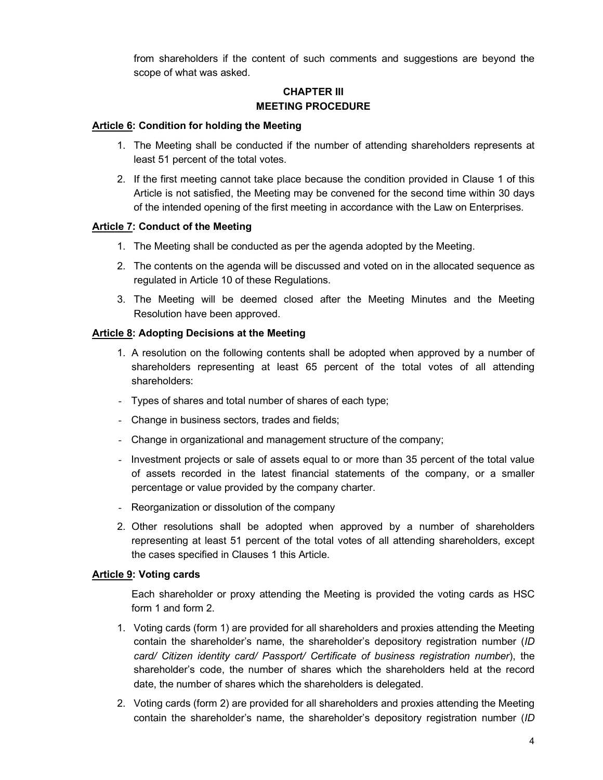from shareholders if the content of such comments and suggestions are beyond the scope of what was asked.

#### **CHAPTER III MEETING PROCEDURE**

#### **Article 6: Condition for holding the Meeting**

- 1. The Meeting shall be conducted if the number of attending shareholders represents at least 51 percent of the total votes.
- 2. If the first meeting cannot take place because the condition provided in Clause 1 of this Article is not satisfied, the Meeting may be convened for the second time within 30 days of the intended opening of the first meeting in accordance with the Law on Enterprises.

#### **Article 7: Conduct of the Meeting**

- 1. The Meeting shall be conducted as per the agenda adopted by the Meeting.
- 2. The contents on the agenda will be discussed and voted on in the allocated sequence as regulated in Article 10 of these Regulations.
- 3. The Meeting will be deemed closed after the Meeting Minutes and the Meeting Resolution have been approved.

#### **Article 8: Adopting Decisions at the Meeting**

- 1. A resolution on the following contents shall be adopted when approved by a number of shareholders representing at least 65 percent of the total votes of all attending shareholders:
- Types of shares and total number of shares of each type;
- Change in business sectors, trades and fields;
- Change in organizational and management structure of the company;
- Investment projects or sale of assets equal to or more than 35 percent of the total value of assets recorded in the latest financial statements of the company, or a smaller percentage or value provided by the company charter.
- Reorganization or dissolution of the company
- 2. Other resolutions shall be adopted when approved by a number of shareholders representing at least 51 percent of the total votes of all attending shareholders, except the cases specified in Clauses 1 this Article.

#### **Article 9: Voting cards**

Each shareholder or proxy attending the Meeting is provided the voting cards as HSC form 1 and form 2.

- 1. Voting cards (form 1) are provided for all shareholders and proxies attending the Meeting contain the shareholder's name, the shareholder's depository registration number (*ID card/ Citizen identity card/ Passport/ Certificate of business registration number*), the shareholder's code, the number of shares which the shareholders held at the record date, the number of shares which the shareholders is delegated.
- 2. Voting cards (form 2) are provided for all shareholders and proxies attending the Meeting contain the shareholder's name, the shareholder's depository registration number (*ID*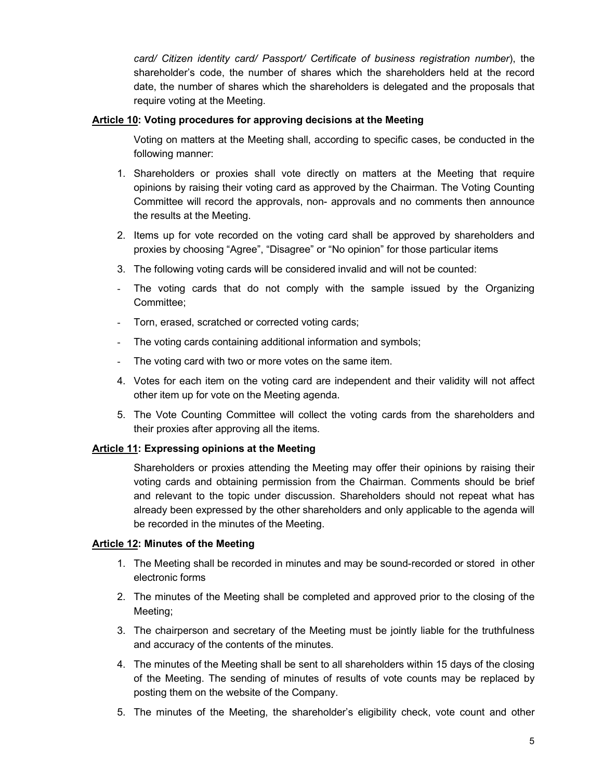*card/ Citizen identity card/ Passport/ Certificate of business registration number*), the shareholder's code, the number of shares which the shareholders held at the record date, the number of shares which the shareholders is delegated and the proposals that require voting at the Meeting.

#### **Article 10: Voting procedures for approving decisions at the Meeting**

Voting on matters at the Meeting shall, according to specific cases, be conducted in the following manner:

- 1. Shareholders or proxies shall vote directly on matters at the Meeting that require opinions by raising their voting card as approved by the Chairman. The Voting Counting Committee will record the approvals, non- approvals and no comments then announce the results at the Meeting.
- 2. Items up for vote recorded on the voting card shall be approved by shareholders and proxies by choosing "Agree", "Disagree" or "No opinion" for those particular items
- 3. The following voting cards will be considered invalid and will not be counted:
- The voting cards that do not comply with the sample issued by the Organizing Committee;
- Torn, erased, scratched or corrected voting cards;
- The voting cards containing additional information and symbols;
- The voting card with two or more votes on the same item.
- 4. Votes for each item on the voting card are independent and their validity will not affect other item up for vote on the Meeting agenda.
- 5. The Vote Counting Committee will collect the voting cards from the shareholders and their proxies after approving all the items.

#### **Article 11: Expressing opinions at the Meeting**

Shareholders or proxies attending the Meeting may offer their opinions by raising their voting cards and obtaining permission from the Chairman. Comments should be brief and relevant to the topic under discussion. Shareholders should not repeat what has already been expressed by the other shareholders and only applicable to the agenda will be recorded in the minutes of the Meeting.

#### **Article 12: Minutes of the Meeting**

- 1. The Meeting shall be recorded in minutes and may be sound-recorded or stored in other electronic forms
- 2. The minutes of the Meeting shall be completed and approved prior to the closing of the Meeting;
- 3. The chairperson and secretary of the Meeting must be jointly liable for the truthfulness and accuracy of the contents of the minutes.
- 4. The minutes of the Meeting shall be sent to all shareholders within 15 days of the closing of the Meeting. The sending of minutes of results of vote counts may be replaced by posting them on the website of the Company.
- 5. The minutes of the Meeting, the shareholder's eligibility check, vote count and other